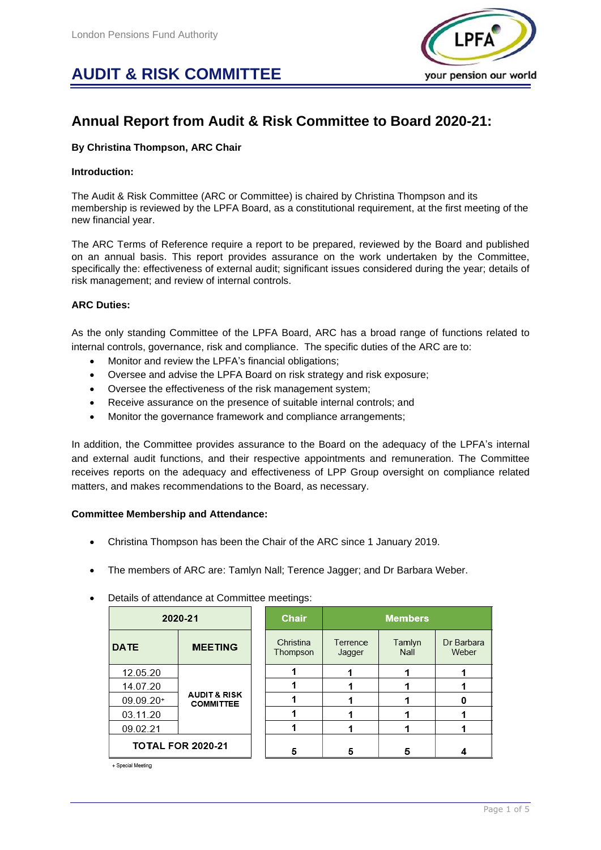# **AUDIT & RISK COMMITTEE**



# **Annual Report from Audit & Risk Committee to Board 2020-21:**

# **By Christina Thompson, ARC Chair**

# **Introduction:**

The Audit & Risk Committee (ARC or Committee) is chaired by Christina Thompson and its membership is reviewed by the LPFA Board, as a constitutional requirement, at the first meeting of the new financial year.

The ARC Terms of Reference require a report to be prepared, reviewed by the Board and published on an annual basis. This report provides assurance on the work undertaken by the Committee, specifically the: effectiveness of external audit; significant issues considered during the year; details of risk management; and review of internal controls.

# **ARC Duties:**

As the only standing Committee of the LPFA Board, ARC has a broad range of functions related to internal controls, governance, risk and compliance. The specific duties of the ARC are to:

- Monitor and review the LPFA's financial obligations;
- Oversee and advise the LPFA Board on risk strategy and risk exposure;
- Oversee the effectiveness of the risk management system;
- Receive assurance on the presence of suitable internal controls; and
- Monitor the governance framework and compliance arrangements;

In addition, the Committee provides assurance to the Board on the adequacy of the LPFA's internal and external audit functions, and their respective appointments and remuneration. The Committee receives reports on the adequacy and effectiveness of LPP Group oversight on compliance related matters, and makes recommendations to the Board, as necessary.

# **Committee Membership and Attendance:**

- Christina Thompson has been the Chair of the ARC since 1 January 2019.
- The members of ARC are: Tamlyn Nall; Terence Jagger; and Dr Barbara Weber.
- Details of attendance at Committee meetings:

| 2020-21                  |                                             | Chair                 | <b>Members</b>     |                |                     |
|--------------------------|---------------------------------------------|-----------------------|--------------------|----------------|---------------------|
| <b>DATE</b>              | <b>MEETING</b>                              | Christina<br>Thompson | Terrence<br>Jagger | Tamlyn<br>Nall | Dr Barbara<br>Weber |
| 12.05.20                 | <b>AUDIT &amp; RISK</b><br><b>COMMITTEE</b> |                       |                    |                |                     |
| 14.07.20                 |                                             |                       |                    |                |                     |
| 09.09.20+                |                                             |                       |                    |                |                     |
| 03.11.20                 |                                             |                       |                    |                |                     |
| 09.02.21                 |                                             |                       |                    |                |                     |
| <b>TOTAL FOR 2020-21</b> |                                             | 5                     | 5                  | 5              |                     |

+ Special Meeting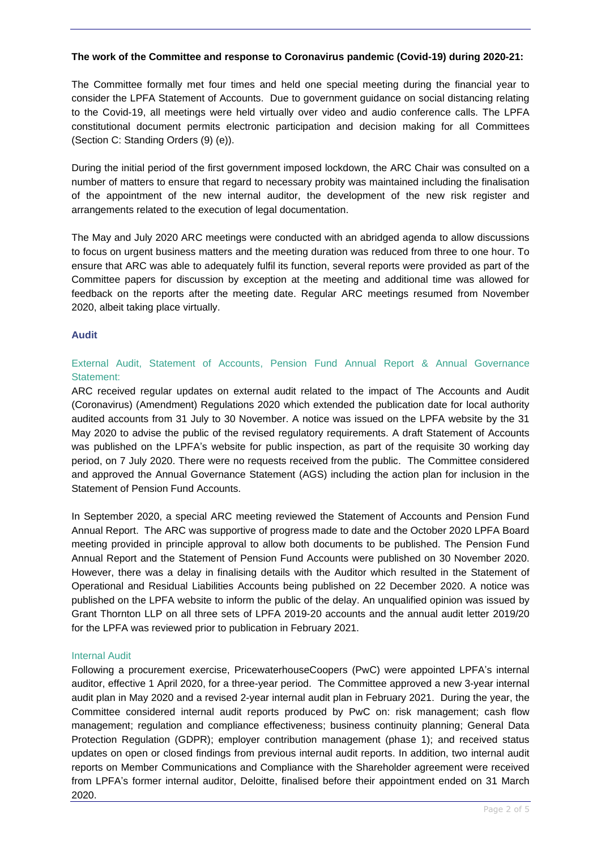# **The work of the Committee and response to Coronavirus pandemic (Covid-19) during 2020-21:**

The Committee formally met four times and held one special meeting during the financial year to consider the LPFA Statement of Accounts. Due to government guidance on social distancing relating to the Covid-19, all meetings were held virtually over video and audio conference calls. The LPFA constitutional document permits electronic participation and decision making for all Committees (Section C: Standing Orders (9) (e)).

During the initial period of the first government imposed lockdown, the ARC Chair was consulted on a number of matters to ensure that regard to necessary probity was maintained including the finalisation of the appointment of the new internal auditor, the development of the new risk register and arrangements related to the execution of legal documentation.

The May and July 2020 ARC meetings were conducted with an abridged agenda to allow discussions to focus on urgent business matters and the meeting duration was reduced from three to one hour. To ensure that ARC was able to adequately fulfil its function, several reports were provided as part of the Committee papers for discussion by exception at the meeting and additional time was allowed for feedback on the reports after the meeting date. Regular ARC meetings resumed from November 2020, albeit taking place virtually.

# **Audit**

# External Audit, Statement of Accounts, Pension Fund Annual Report & Annual Governance Statement:

ARC received regular updates on external audit related to the impact of The Accounts and Audit (Coronavirus) (Amendment) Regulations 2020 which extended the publication date for local authority audited accounts from 31 July to 30 November. A notice was issued on the LPFA website by the 31 May 2020 to advise the public of the revised regulatory requirements. A draft Statement of Accounts was published on the LPFA's website for public inspection, as part of the requisite 30 working day period, on 7 July 2020. There were no requests received from the public. The Committee considered and approved the Annual Governance Statement (AGS) including the action plan for inclusion in the Statement of Pension Fund Accounts.

In September 2020, a special ARC meeting reviewed the Statement of Accounts and Pension Fund Annual Report. The ARC was supportive of progress made to date and the October 2020 LPFA Board meeting provided in principle approval to allow both documents to be published. The Pension Fund Annual Report and the Statement of Pension Fund Accounts were published on 30 November 2020. However, there was a delay in finalising details with the Auditor which resulted in the Statement of Operational and Residual Liabilities Accounts being published on 22 December 2020. A notice was published on the LPFA website to inform the public of the delay. An unqualified opinion was issued by Grant Thornton LLP on all three sets of LPFA 2019-20 accounts and the annual audit letter 2019/20 for the LPFA was reviewed prior to publication in February 2021.

# Internal Audit

Following a procurement exercise, PricewaterhouseCoopers (PwC) were appointed LPFA's internal auditor, effective 1 April 2020, for a three-year period. The Committee approved a new 3-year internal audit plan in May 2020 and a revised 2-year internal audit plan in February 2021. During the year, the Committee considered internal audit reports produced by PwC on: risk management; cash flow management; regulation and compliance effectiveness; business continuity planning; General Data Protection Regulation (GDPR); employer contribution management (phase 1); and received status updates on open or closed findings from previous internal audit reports. In addition, two internal audit reports on Member Communications and Compliance with the Shareholder agreement were received from LPFA's former internal auditor, Deloitte, finalised before their appointment ended on 31 March 2020.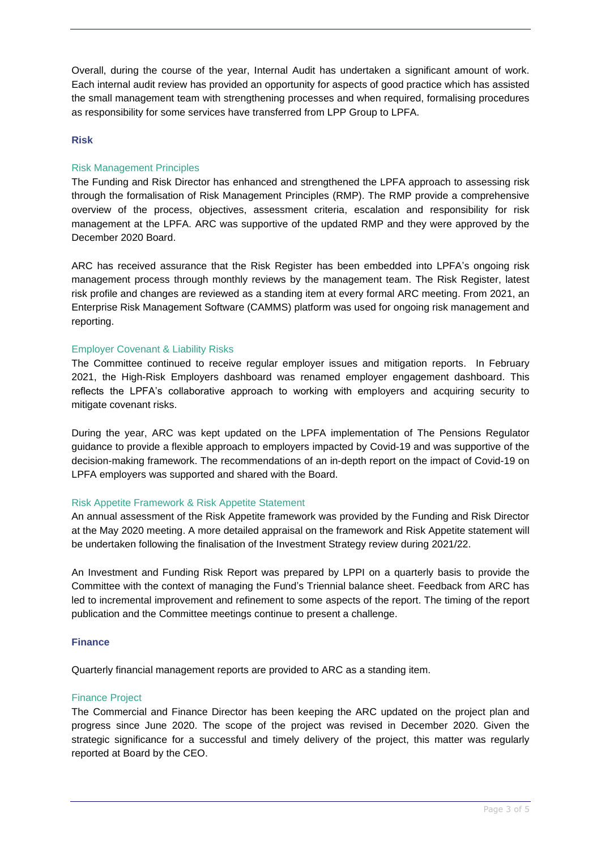Overall, during the course of the year, Internal Audit has undertaken a significant amount of work. Each internal audit review has provided an opportunity for aspects of good practice which has assisted the small management team with strengthening processes and when required, formalising procedures as responsibility for some services have transferred from LPP Group to LPFA.

# **Risk**

# Risk Management Principles

The Funding and Risk Director has enhanced and strengthened the LPFA approach to assessing risk through the formalisation of Risk Management Principles (RMP). The RMP provide a comprehensive overview of the process, objectives, assessment criteria, escalation and responsibility for risk management at the LPFA. ARC was supportive of the updated RMP and they were approved by the December 2020 Board.

ARC has received assurance that the Risk Register has been embedded into LPFA's ongoing risk management process through monthly reviews by the management team. The Risk Register, latest risk profile and changes are reviewed as a standing item at every formal ARC meeting. From 2021, an Enterprise Risk Management Software (CAMMS) platform was used for ongoing risk management and reporting.

#### Employer Covenant & Liability Risks

The Committee continued to receive regular employer issues and mitigation reports. In February 2021, the High-Risk Employers dashboard was renamed employer engagement dashboard. This reflects the LPFA's collaborative approach to working with employers and acquiring security to mitigate covenant risks.

During the year, ARC was kept updated on the LPFA implementation of The Pensions Regulator guidance to provide a flexible approach to employers impacted by Covid-19 and was supportive of the decision-making framework. The recommendations of an in-depth report on the impact of Covid-19 on LPFA employers was supported and shared with the Board.

# Risk Appetite Framework & Risk Appetite Statement

An annual assessment of the Risk Appetite framework was provided by the Funding and Risk Director at the May 2020 meeting. A more detailed appraisal on the framework and Risk Appetite statement will be undertaken following the finalisation of the Investment Strategy review during 2021/22.

An Investment and Funding Risk Report was prepared by LPPI on a quarterly basis to provide the Committee with the context of managing the Fund's Triennial balance sheet. Feedback from ARC has led to incremental improvement and refinement to some aspects of the report. The timing of the report publication and the Committee meetings continue to present a challenge.

#### **Finance**

Quarterly financial management reports are provided to ARC as a standing item.

#### Finance Project

The Commercial and Finance Director has been keeping the ARC updated on the project plan and progress since June 2020. The scope of the project was revised in December 2020. Given the strategic significance for a successful and timely delivery of the project, this matter was regularly reported at Board by the CEO.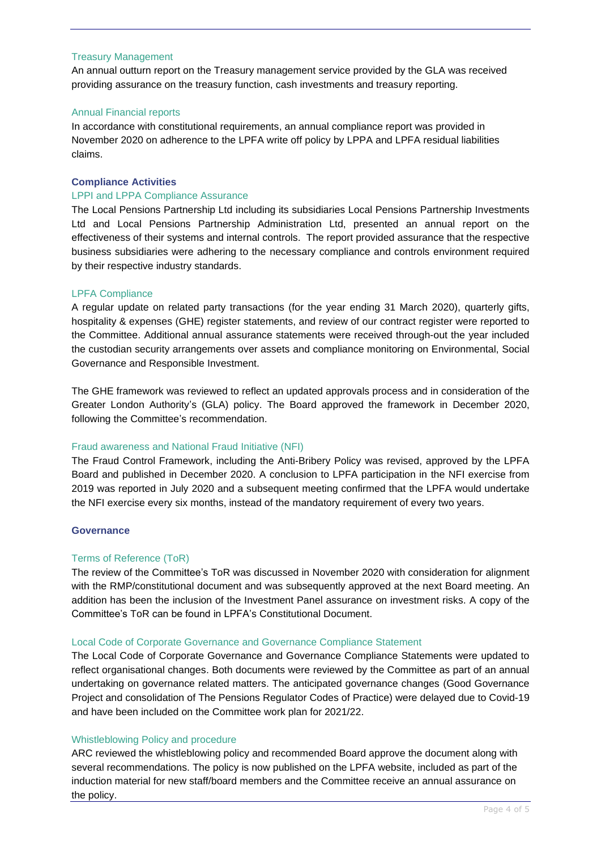#### Treasury Management

An annual outturn report on the Treasury management service provided by the GLA was received providing assurance on the treasury function, cash investments and treasury reporting.

#### Annual Financial reports

In accordance with constitutional requirements, an annual compliance report was provided in November 2020 on adherence to the LPFA write off policy by LPPA and LPFA residual liabilities claims.

# **Compliance Activities**

#### LPPI and LPPA Compliance Assurance

The Local Pensions Partnership Ltd including its subsidiaries Local Pensions Partnership Investments Ltd and Local Pensions Partnership Administration Ltd, presented an annual report on the effectiveness of their systems and internal controls. The report provided assurance that the respective business subsidiaries were adhering to the necessary compliance and controls environment required by their respective industry standards.

#### LPFA Compliance

A regular update on related party transactions (for the year ending 31 March 2020), quarterly gifts, hospitality & expenses (GHE) register statements, and review of our contract register were reported to the Committee. Additional annual assurance statements were received through-out the year included the custodian security arrangements over assets and compliance monitoring on Environmental, Social Governance and Responsible Investment.

The GHE framework was reviewed to reflect an updated approvals process and in consideration of the Greater London Authority's (GLA) policy. The Board approved the framework in December 2020, following the Committee's recommendation.

#### Fraud awareness and National Fraud Initiative (NFI)

The Fraud Control Framework, including the Anti-Bribery Policy was revised, approved by the LPFA Board and published in December 2020. A conclusion to LPFA participation in the NFI exercise from 2019 was reported in July 2020 and a subsequent meeting confirmed that the LPFA would undertake the NFI exercise every six months, instead of the mandatory requirement of every two years.

#### **Governance**

#### Terms of Reference (ToR)

The review of the Committee's ToR was discussed in November 2020 with consideration for alignment with the RMP/constitutional document and was subsequently approved at the next Board meeting. An addition has been the inclusion of the Investment Panel assurance on investment risks. A copy of the Committee's ToR can be found in LPFA's Constitutional Document.

#### Local Code of Corporate Governance and Governance Compliance Statement

The Local Code of Corporate Governance and Governance Compliance Statements were updated to reflect organisational changes. Both documents were reviewed by the Committee as part of an annual undertaking on governance related matters. The anticipated governance changes (Good Governance Project and consolidation of The Pensions Regulator Codes of Practice) were delayed due to Covid-19 and have been included on the Committee work plan for 2021/22.

#### Whistleblowing Policy and procedure

ARC reviewed the whistleblowing policy and recommended Board approve the document along with several recommendations. The policy is now published on the LPFA website, included as part of the induction material for new staff/board members and the Committee receive an annual assurance on the policy.